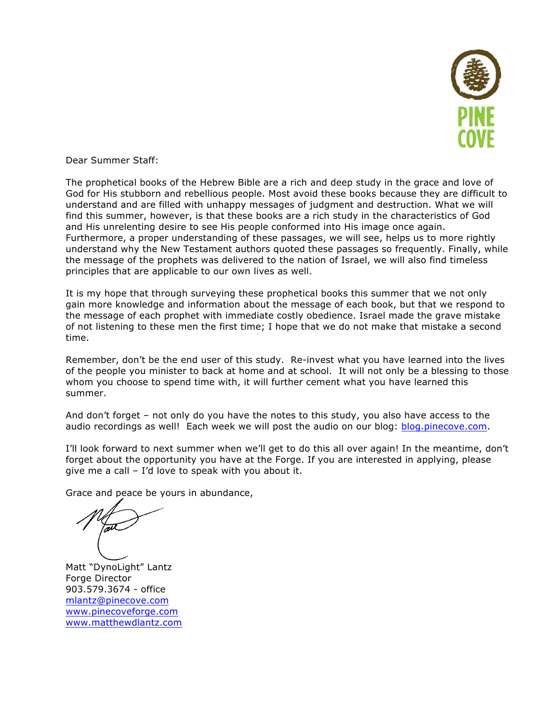

Dear Summer Staff:

The prophetical books of the Hebrew Bible are a rich and deep study in the grace and love of God for His stubborn and rebellious people. Most avoid these books because they are difficult to understand and are filled with unhappy messages of judgment and destruction. What we will find this summer, however, is that these books are a rich study in the characteristics of God and His unrelenting desire to see His people conformed into His image once again. Furthermore, a proper understanding of these passages, we will see, helps us to more rightly understand why the New Testament authors quoted these passages so frequently. Finally, while the message of the prophets was delivered to the nation of Israel, we will also find timeless principles that are applicable to our own lives as well.

It is my hope that through surveying these prophetical books this summer that we not only gain more knowledge and information about the message of each book, but that we respond to the message of each prophet with immediate costly obedience. Israel made the grave mistake of not listening to these men the first time; I hope that we do not make that mistake a second time.

Remember, don't be the end user of this study. Re-invest what you have learned into the lives of the people you minister to back at home and at school. It will not only be a blessing to those whom you choose to spend time with, it will further cement what you have learned this summer.

And don't forget – not only do you have the notes to this study, you also have access to the audio recordings as well! Each week we will post the audio on our blog: blog.pinecove.com.

I'll look forward to next summer when we'll get to do this all over again! In the meantime, don't forget about the opportunity you have at the Forge. If you are interested in applying, please give me a call – I'd love to speak with you about it.

Grace and peace be yours in abundance,

Matt "DynoLight" Lantz Forge Director 903.579.3674 - office mlantz@pinecove.com www.pinecoveforge.com www.matthewdlantz.com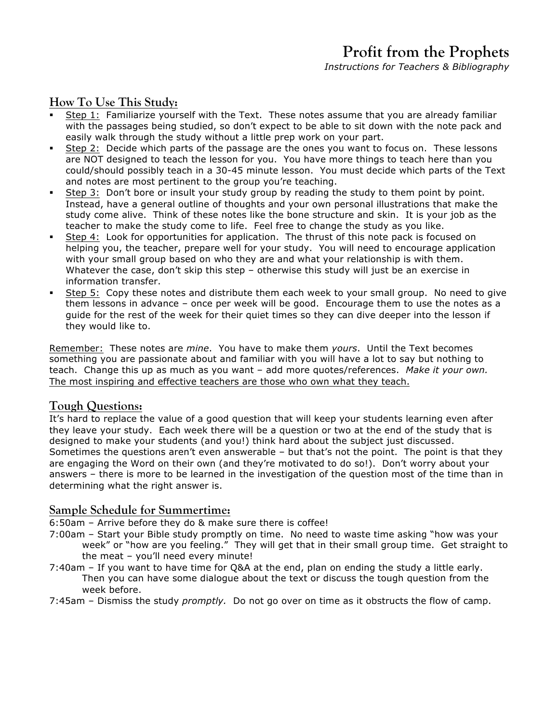# **Profit from the Prophets**

*Instructions for Teachers & Bibliography*

## **How To Use This Study:**

- Step 1: Familiarize yourself with the Text. These notes assume that you are already familiar with the passages being studied, so don't expect to be able to sit down with the note pack and easily walk through the study without a little prep work on your part.
- § Step 2: Decide which parts of the passage are the ones you want to focus on. These lessons are NOT designed to teach the lesson for you. You have more things to teach here than you could/should possibly teach in a 30-45 minute lesson. You must decide which parts of the Text and notes are most pertinent to the group you're teaching.
- Step 3: Don't bore or insult your study group by reading the study to them point by point. Instead, have a general outline of thoughts and your own personal illustrations that make the study come alive. Think of these notes like the bone structure and skin. It is your job as the teacher to make the study come to life. Feel free to change the study as you like.
- Step 4: Look for opportunities for application. The thrust of this note pack is focused on helping you, the teacher, prepare well for your study. You will need to encourage application with your small group based on who they are and what your relationship is with them. Whatever the case, don't skip this step - otherwise this study will just be an exercise in information transfer.
- Step 5: Copy these notes and distribute them each week to your small group. No need to give them lessons in advance – once per week will be good. Encourage them to use the notes as a guide for the rest of the week for their quiet times so they can dive deeper into the lesson if they would like to.

Remember: These notes are *mine*. You have to make them *yours*. Until the Text becomes something you are passionate about and familiar with you will have a lot to say but nothing to teach. Change this up as much as you want – add more quotes/references. *Make it your own.* The most inspiring and effective teachers are those who own what they teach.

### **Tough Questions:**

It's hard to replace the value of a good question that will keep your students learning even after they leave your study. Each week there will be a question or two at the end of the study that is designed to make your students (and you!) think hard about the subject just discussed. Sometimes the questions aren't even answerable – but that's not the point. The point is that they are engaging the Word on their own (and they're motivated to do so!). Don't worry about your answers – there is more to be learned in the investigation of the question most of the time than in determining what the right answer is.

### **Sample Schedule for Summertime:**

- 6:50am Arrive before they do & make sure there is coffee!
- 7:00am Start your Bible study promptly on time. No need to waste time asking "how was your week" or "how are you feeling." They will get that in their small group time. Get straight to the meat – you'll need every minute!
- 7:40am If you want to have time for Q&A at the end, plan on ending the study a little early. Then you can have some dialogue about the text or discuss the tough question from the week before.
- 7:45am Dismiss the study *promptly.* Do not go over on time as it obstructs the flow of camp.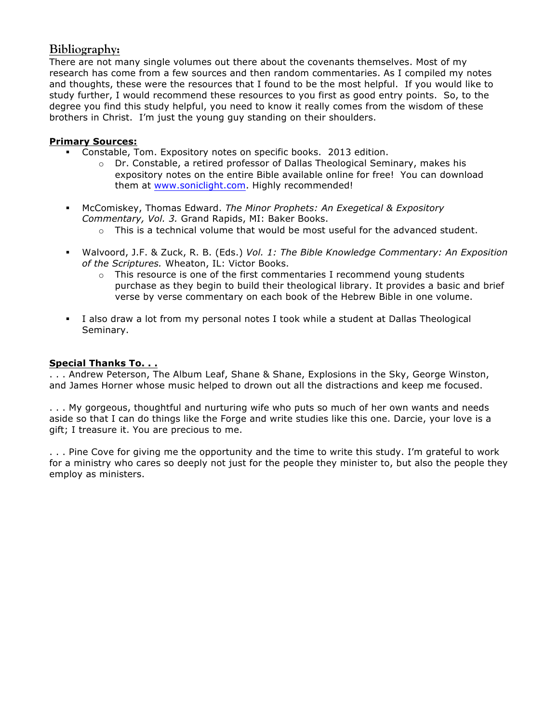## **Bibliography:**

There are not many single volumes out there about the covenants themselves. Most of my research has come from a few sources and then random commentaries. As I compiled my notes and thoughts, these were the resources that I found to be the most helpful. If you would like to study further, I would recommend these resources to you first as good entry points. So, to the degree you find this study helpful, you need to know it really comes from the wisdom of these brothers in Christ. I'm just the young guy standing on their shoulders.

#### **Primary Sources:**

- § Constable, Tom. Expository notes on specific books. 2013 edition.
	- $\circ$  Dr. Constable, a retired professor of Dallas Theological Seminary, makes his expository notes on the entire Bible available online for free! You can download them at www.soniclight.com. Highly recommended!
- § McComiskey, Thomas Edward. *The Minor Prophets: An Exegetical & Expository Commentary, Vol. 3.* Grand Rapids, MI: Baker Books.
	- $\circ$  This is a technical volume that would be most useful for the advanced student.
- § Walvoord, J.F. & Zuck, R. B. (Eds.) *Vol. 1: The Bible Knowledge Commentary: An Exposition of the Scriptures.* Wheaton, IL: Victor Books.
	- $\circ$  This resource is one of the first commentaries I recommend young students purchase as they begin to build their theological library. It provides a basic and brief verse by verse commentary on each book of the Hebrew Bible in one volume.
- § I also draw a lot from my personal notes I took while a student at Dallas Theological Seminary.

#### **Special Thanks To. . .**

. . . Andrew Peterson, The Album Leaf, Shane & Shane, Explosions in the Sky, George Winston, and James Horner whose music helped to drown out all the distractions and keep me focused.

. . . My gorgeous, thoughtful and nurturing wife who puts so much of her own wants and needs aside so that I can do things like the Forge and write studies like this one. Darcie, your love is a gift; I treasure it. You are precious to me.

. . . Pine Cove for giving me the opportunity and the time to write this study. I'm grateful to work for a ministry who cares so deeply not just for the people they minister to, but also the people they employ as ministers.